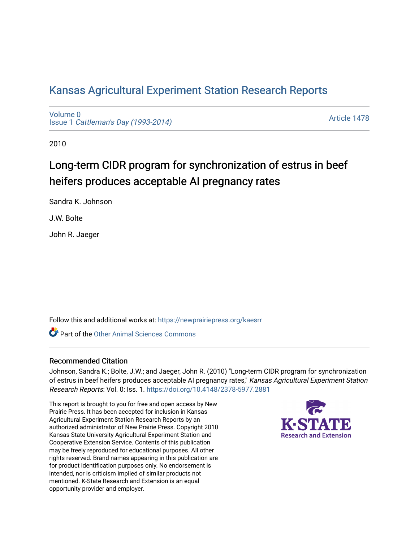# [Kansas Agricultural Experiment Station Research Reports](https://newprairiepress.org/kaesrr)

[Volume 0](https://newprairiepress.org/kaesrr/vol0) Issue 1 [Cattleman's Day \(1993-2014\)](https://newprairiepress.org/kaesrr/vol0/iss1) 

[Article 1478](https://newprairiepress.org/kaesrr/vol0/iss1/1478) 

2010

# Long-term CIDR program for synchronization of estrus in beef heifers produces acceptable AI pregnancy rates

Sandra K. Johnson

J.W. Bolte

John R. Jaeger

Follow this and additional works at: [https://newprairiepress.org/kaesrr](https://newprairiepress.org/kaesrr?utm_source=newprairiepress.org%2Fkaesrr%2Fvol0%2Fiss1%2F1478&utm_medium=PDF&utm_campaign=PDFCoverPages) 

**C** Part of the [Other Animal Sciences Commons](http://network.bepress.com/hgg/discipline/82?utm_source=newprairiepress.org%2Fkaesrr%2Fvol0%2Fiss1%2F1478&utm_medium=PDF&utm_campaign=PDFCoverPages)

#### Recommended Citation

Johnson, Sandra K.; Bolte, J.W.; and Jaeger, John R. (2010) "Long-term CIDR program for synchronization of estrus in beef heifers produces acceptable AI pregnancy rates," Kansas Agricultural Experiment Station Research Reports: Vol. 0: Iss. 1.<https://doi.org/10.4148/2378-5977.2881>

This report is brought to you for free and open access by New Prairie Press. It has been accepted for inclusion in Kansas Agricultural Experiment Station Research Reports by an authorized administrator of New Prairie Press. Copyright 2010 Kansas State University Agricultural Experiment Station and Cooperative Extension Service. Contents of this publication may be freely reproduced for educational purposes. All other rights reserved. Brand names appearing in this publication are for product identification purposes only. No endorsement is intended, nor is criticism implied of similar products not mentioned. K-State Research and Extension is an equal opportunity provider and employer.

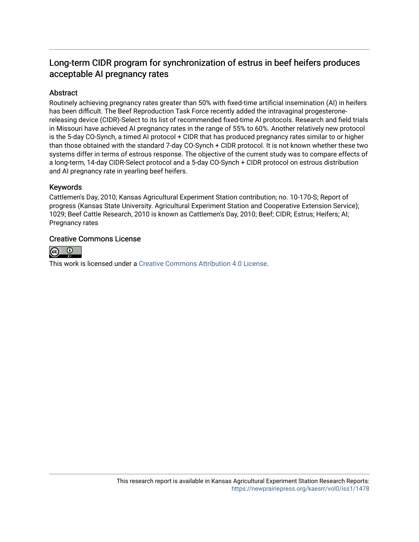# Long-term CIDR program for synchronization of estrus in beef heifers produces acceptable AI pregnancy rates

### Abstract

Routinely achieving pregnancy rates greater than 50% with fixed-time artificial insemination (AI) in heifers has been difficult. The Beef Reproduction Task Force recently added the intravaginal progesteronereleasing device (CIDR)-Select to its list of recommended fixed-time AI protocols. Research and field trials in Missouri have achieved AI pregnancy rates in the range of 55% to 60%. Another relatively new protocol is the 5-day CO-Synch, a timed AI protocol + CIDR that has produced pregnancy rates similar to or higher than those obtained with the standard 7-day CO-Synch + CIDR protocol. It is not known whether these two systems differ in terms of estrous response. The objective of the current study was to compare effects of a long-term, 14-day CIDR-Select protocol and a 5-day CO-Synch + CIDR protocol on estrous distribution and AI pregnancy rate in yearling beef heifers.

#### Keywords

Cattlemen's Day, 2010; Kansas Agricultural Experiment Station contribution; no. 10-170-S; Report of progress (Kansas State University. Agricultural Experiment Station and Cooperative Extension Service); 1029; Beef Cattle Research, 2010 is known as Cattlemen's Day, 2010; Beef; CIDR; Estrus; Heifers; AI; Pregnancy rates

#### Creative Commons License



This work is licensed under a [Creative Commons Attribution 4.0 License](https://creativecommons.org/licenses/by/4.0/).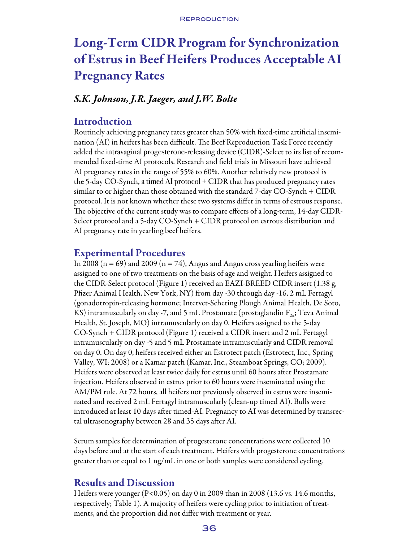# Long-Term CIDR Program for Synchronization of Estrus in Beef Heifers Produces Acceptable AI Pregnancy Rates

# *S.K. Johnson, J.R. Jaeger, and J.W. Bolte*

# Introduction

Routinely achieving pregnancy rates greater than 50% with fixed-time artificial insemination (AI) in heifers has been difficult. The Beef Reproduction Task Force recently added the intravaginal progesterone-releasing device (CIDR)-Select to its list of recommended fixed-time AI protocols. Research and field trials in Missouri have achieved AI pregnancy rates in the range of 55% to 60%. Another relatively new protocol is the 5-day CO-Synch, a timed AI protocol + CIDR that has produced pregnancy rates similar to or higher than those obtained with the standard 7-day CO-Synch + CIDR protocol. It is not known whether these two systems differ in terms of estrous response. The objective of the current study was to compare effects of a long-term, 14-day CIDR-Select protocol and a 5-day CO-Synch + CIDR protocol on estrous distribution and AI pregnancy rate in yearling beef heifers.

# Experimental Procedures

In 2008 ( $n = 69$ ) and 2009 ( $n = 74$ ), Angus and Angus cross yearling heifers were assigned to one of two treatments on the basis of age and weight. Heifers assigned to the CIDR-Select protocol (Figure 1) received an EAZI-BREED CIDR insert (1.38 g, Pfizer Animal Health, New York, NY) from day -30 through day -16, 2 mL Fertagyl (gonadotropin-releasing hormone; Intervet-Schering Plough Animal Health, De Soto, KS) intramuscularly on day -7, and 5 mL Prostamate (prostaglandin  $F_{2a}$ ; Teva Animal Health, St. Joseph, MO) intramuscularly on day 0. Heifers assigned to the 5-day CO-Synch + CIDR protocol (Figure 1) received a CIDR insert and 2 mL Fertagyl intramuscularly on day -5 and 5 mL Prostamate intramuscularly and CIDR removal on day 0. On day 0, heifers received either an Estrotect patch (Estrotect, Inc., Spring Valley, WI; 2008) or a Kamar patch (Kamar, Inc., Steamboat Springs, CO; 2009). Heifers were observed at least twice daily for estrus until 60 hours after Prostamate injection. Heifers observed in estrus prior to 60 hours were inseminated using the AM/PM rule. At 72 hours, all heifers not previously observed in estrus were inseminated and received 2 mL Fertagyl intramuscularly (clean-up timed AI). Bulls were introduced at least 10 days after timed-AI. Pregnancy to AI was determined by transrectal ultrasonography between 28 and 35 days after AI.

Serum samples for determination of progesterone concentrations were collected 10 days before and at the start of each treatment. Heifers with progesterone concentrations greater than or equal to 1 ng/mL in one or both samples were considered cycling.

## Results and Discussion

Heifers were younger (P<0.05) on day 0 in 2009 than in 2008 (13.6 vs. 14.6 months, respectively; Table 1). A majority of heifers were cycling prior to initiation of treatments, and the proportion did not differ with treatment or year.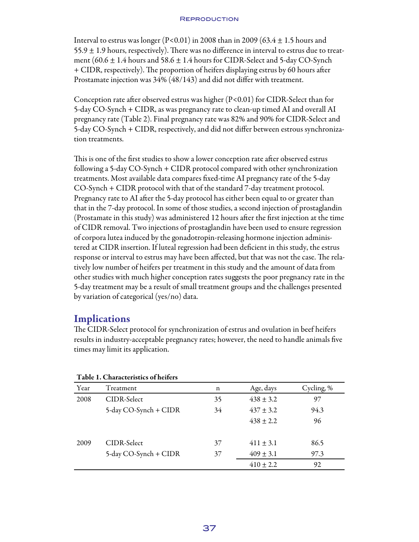#### **REPRODUCTION**

Interval to estrus was longer (P<0.01) in 2008 than in 2009 (63.4  $\pm$  1.5 hours and  $55.9 \pm 1.9$  hours, respectively). There was no difference in interval to estrus due to treatment (60.6  $\pm$  1.4 hours and 58.6  $\pm$  1.4 hours for CIDR-Select and 5-day CO-Synch + CIDR, respectively). The proportion of heifers displaying estrus by 60 hours after Prostamate injection was 34% (48/143) and did not differ with treatment.

Conception rate after observed estrus was higher  $(P<0.01)$  for CIDR-Select than for 5-day CO-Synch + CIDR, as was pregnancy rate to clean-up timed AI and overall AI pregnancy rate (Table 2). Final pregnancy rate was 82% and 90% for CIDR-Select and 5-day CO-Synch + CIDR, respectively, and did not differ between estrous synchronization treatments.

This is one of the first studies to show a lower conception rate after observed estrus following a 5-day CO-Synch + CIDR protocol compared with other synchronization treatments. Most available data compares fixed-time AI pregnancy rate of the 5-day CO-Synch + CIDR protocol with that of the standard 7-day treatment protocol. Pregnancy rate to AI after the 5-day protocol has either been equal to or greater than that in the 7-day protocol. In some of those studies, a second injection of prostaglandin (Prostamate in this study) was administered 12 hours after the first injection at the time of CIDR removal. Two injections of prostaglandin have been used to ensure regression of corpora lutea induced by the gonadotropin-releasing hormone injection administered at CIDR insertion. If luteal regression had been deficient in this study, the estrus response or interval to estrus may have been affected, but that was not the case. The relatively low number of heifers per treatment in this study and the amount of data from other studies with much higher conception rates suggests the poor pregnancy rate in the 5-day treatment may be a result of small treatment groups and the challenges presented by variation of categorical (yes/no) data.

## **Implications**

The CIDR-Select protocol for synchronization of estrus and ovulation in beef heifers results in industry-acceptable pregnancy rates; however, the need to handle animals five times may limit its application.

| Table 1. Characteristics of hences |                       |    |               |            |  |  |
|------------------------------------|-----------------------|----|---------------|------------|--|--|
| Year                               | Treatment             | n  | Age, days     | Cycling, % |  |  |
| 2008                               | CIDR-Select           | 35 | $438 \pm 3.2$ | 97         |  |  |
|                                    | 5-day CO-Synch + CIDR | 34 | $437 \pm 3.2$ | 94.3       |  |  |
|                                    |                       |    | $438 \pm 2.2$ | 96         |  |  |
| 2009                               | CIDR-Select           | 37 | $411 \pm 3.1$ | 86.5       |  |  |
|                                    | 5-day CO-Synch + CIDR | 37 | $409 \pm 3.1$ | 97.3       |  |  |
|                                    |                       |    | $410 \pm 2.2$ | 92         |  |  |

### Table 1. Characteristics of heifers